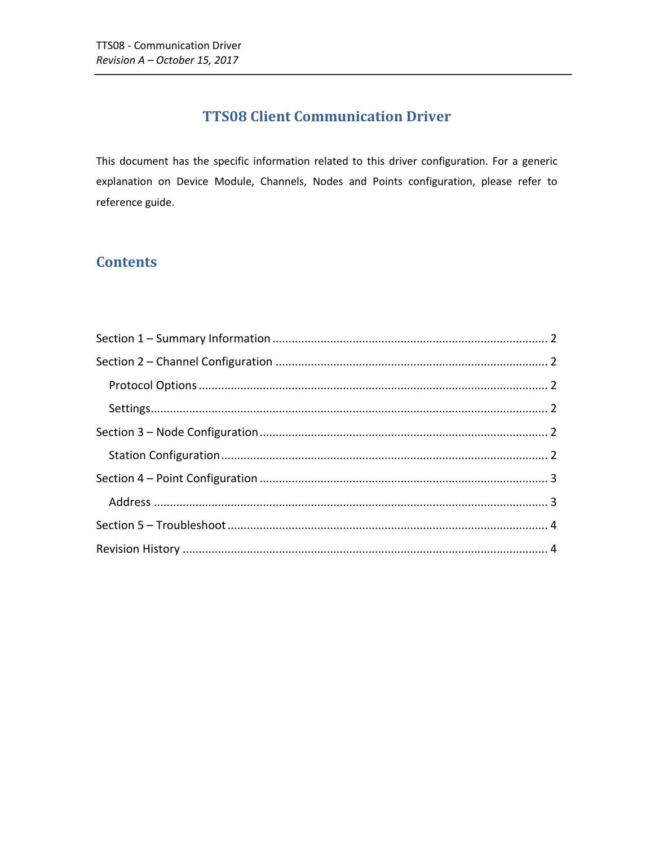# **TTS08 Client Communication Driver**

This document has the specific information related to this driver configuration. For a generic explanation on Device Module, Channels, Nodes and Points configuration, please refer to reference guide.

### **Contents**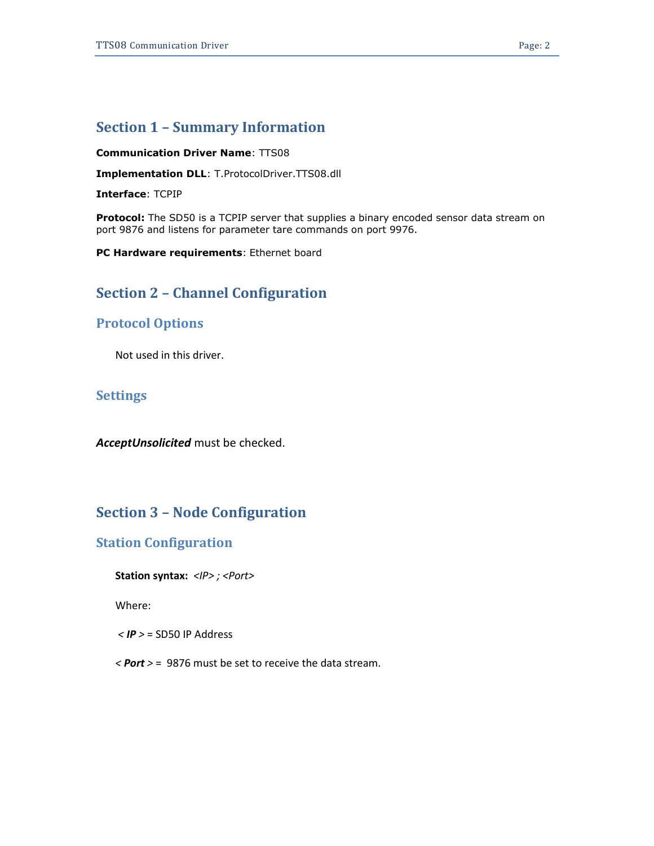### <span id="page-1-0"></span>**Section 1 – Summary Information**

#### **Communication Driver Name**: TTS08

**Implementation DLL**: T.ProtocolDriver.TTS08.dll

**Interface**: TCPIP

**Protocol:** The SD50 is a TCPIP server that supplies a binary encoded sensor data stream on port 9876 and listens for parameter tare commands on port 9976.

<span id="page-1-1"></span>**PC Hardware requirements**: Ethernet board

### **Section 2 – Channel Configuration**

#### <span id="page-1-2"></span>**Protocol Options**

Not used in this driver.

#### <span id="page-1-3"></span>**Settings**

*AcceptUnsolicited* must be checked.

## <span id="page-1-4"></span>**Section 3 – Node Configuration**

#### <span id="page-1-5"></span>**Station Configuration**

**Station syntax:** *<IP> ; <Port>*

Where:

*< IP >* = SD50 IP Address

*< Port >* = 9876 must be set to receive the data stream.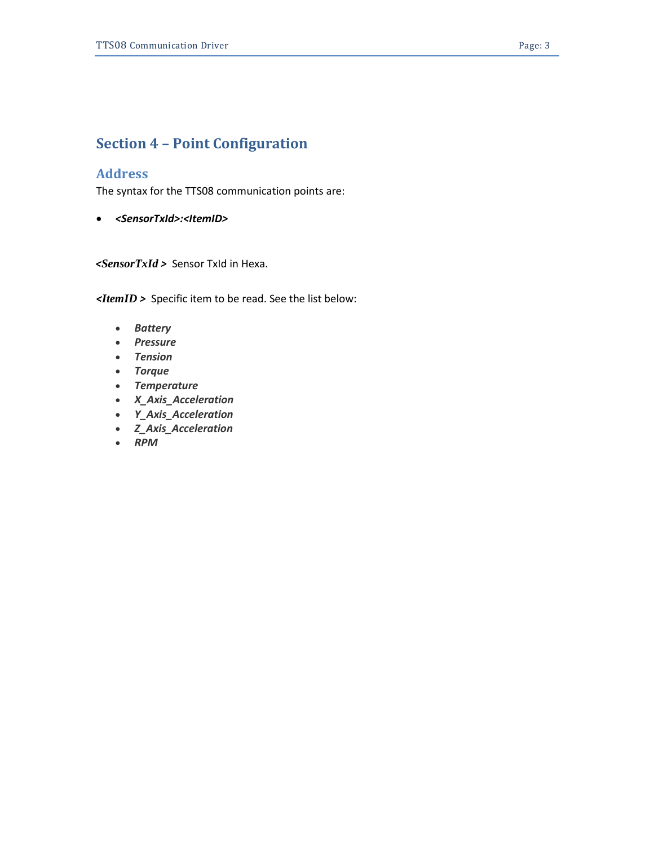# <span id="page-2-0"></span>**Section 4 – Point Configuration**

#### <span id="page-2-1"></span>**Address**

The syntax for the TTS08 communication points are:

*<SensorTxId>:<ItemID>*

 *<SensorTxId >* Sensor TxId in Hexa.

*<ItemID >* Specific item to be read. See the list below:

- *Battery*
- *Pressure*
- *Tension*
- *Torque*
- *Temperature*
- *X\_Axis\_Acceleration*
- *Y\_Axis\_Acceleration*
- *Z\_Axis\_Acceleration*
- *RPM*